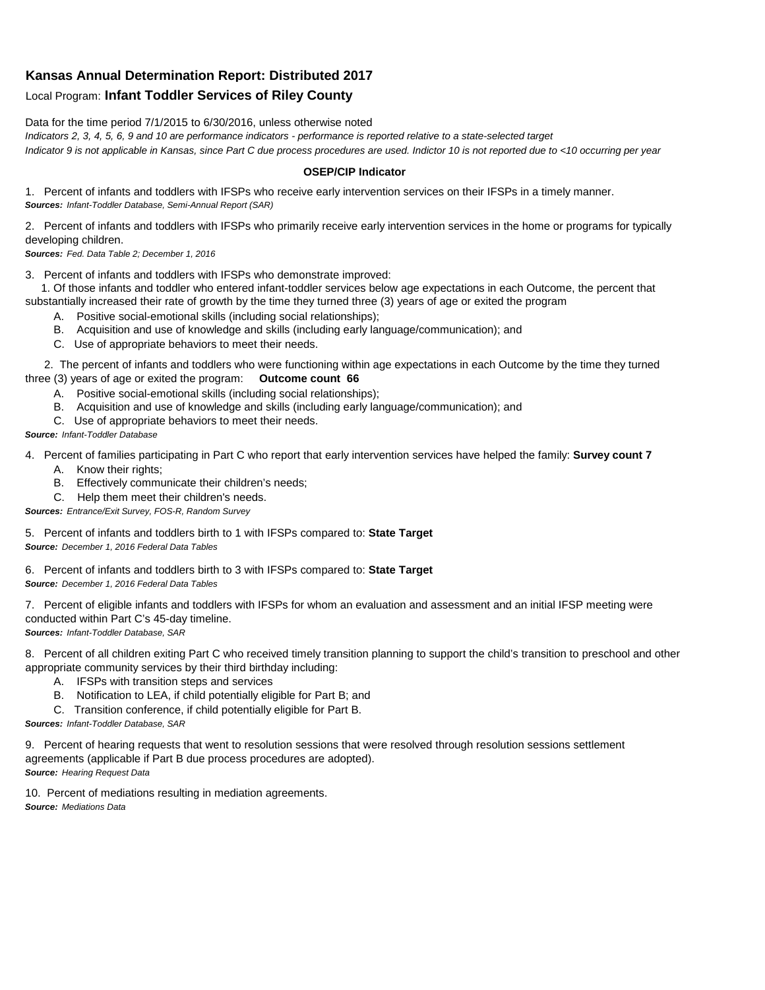## **Kansas Annual Determination Report: Distributed 2017**

## Local Program: **Infant Toddler Services of Riley County**

Data for the time period 7/1/2015 to 6/30/2016, unless otherwise noted

*Indicators 2, 3, 4, 5, 6, 9 and 10 are performance indicators - performance is reported relative to a state-selected target Indicator 9 is not applicable in Kansas, since Part C due process procedures are used. Indictor 10 is not reported due to <10 occurring per year*

## **OSEP/CIP Indicator**

1. Percent of infants and toddlers with IFSPs who receive early intervention services on their IFSPs in a timely manner. *Sources: Infant-Toddler Database, Semi-Annual Report (SAR)* 

2. Percent of infants and toddlers with IFSPs who primarily receive early intervention services in the home or programs for typically developing children.

*Sources: Fed. Data Table 2; December 1, 2016*

3. Percent of infants and toddlers with IFSPs who demonstrate improved:

 1. Of those infants and toddler who entered infant-toddler services below age expectations in each Outcome, the percent that substantially increased their rate of growth by the time they turned three (3) years of age or exited the program

- A. Positive social-emotional skills (including social relationships);
- B. Acquisition and use of knowledge and skills (including early language/communication); and
- C. Use of appropriate behaviors to meet their needs.

 2. The percent of infants and toddlers who were functioning within age expectations in each Outcome by the time they turned three (3) years of age or exited the program: **Outcome count 66**

- A. Positive social-emotional skills (including social relationships);
- B. Acquisition and use of knowledge and skills (including early language/communication); and
- C. Use of appropriate behaviors to meet their needs.

## *Source: Infant-Toddler Database*

4. Percent of families participating in Part C who report that early intervention services have helped the family: **Survey count 7**

- A. Know their rights;
- B. Effectively communicate their children's needs;
- C. Help them meet their children's needs.
- *Sources: Entrance/Exit Survey, FOS-R, Random Survey*

5. Percent of infants and toddlers birth to 1 with IFSPs compared to: **State Target** *Source: December 1, 2016 Federal Data Tables*

6. Percent of infants and toddlers birth to 3 with IFSPs compared to: **State Target** *Source: December 1, 2016 Federal Data Tables*

7. Percent of eligible infants and toddlers with IFSPs for whom an evaluation and assessment and an initial IFSP meeting were conducted within Part C's 45-day timeline.

*Sources: Infant-Toddler Database, SAR*

8. Percent of all children exiting Part C who received timely transition planning to support the child's transition to preschool and other appropriate community services by their third birthday including:

- A. IFSPs with transition steps and services
- B. Notification to LEA, if child potentially eligible for Part B; and
- C. Transition conference, if child potentially eligible for Part B.

*Sources: Infant-Toddler Database, SAR*

9. Percent of hearing requests that went to resolution sessions that were resolved through resolution sessions settlement agreements (applicable if Part B due process procedures are adopted). *Source: Hearing Request Data*

10. Percent of mediations resulting in mediation agreements. *Source: Mediations Data*